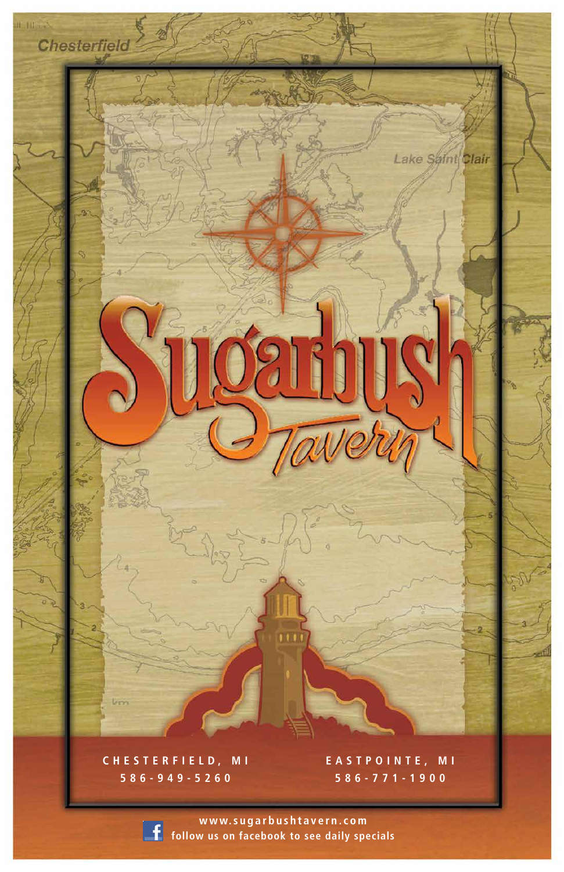

### **CHESTERFIELD, MI 586-949-5260**

 $lcm$ 

**www.sugarbushtavern.com f** follow us on facebook to see daily specials

**EASTPOINTE, MI 586-771-1900**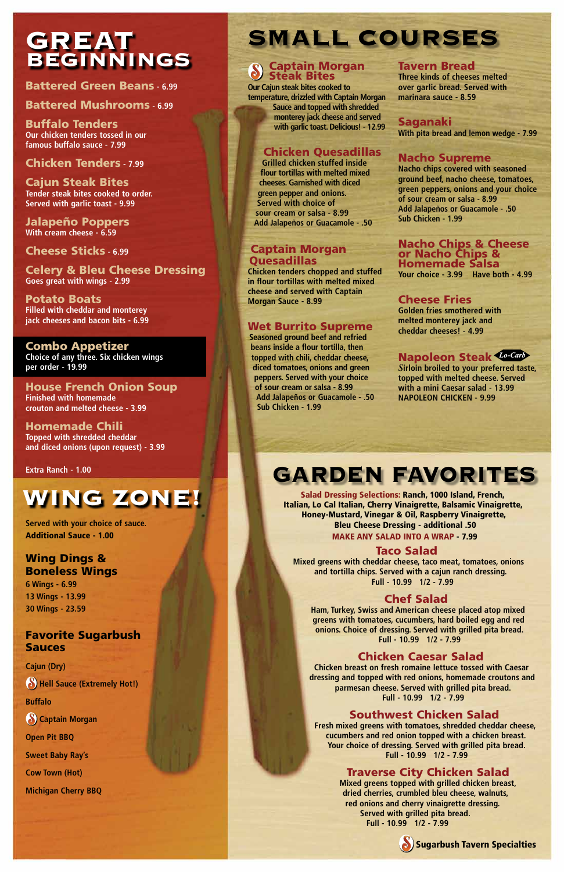#### Taco Salad

**Mixed greens with cheddar cheese, taco meat, tomatoes, onions and tortilla chips. Served with a cajun ranch dressing. Full - 10.99 1/2 - 7.99**

#### Chef Salad

**Ham, Turkey, Swiss and American cheese placed atop mixed greens with tomatoes, cucumbers, hard boiled egg and red onions. Choice of dressing. Served with grilled pita bread. Full - 10.99 1/2 - 7.99**

#### Chicken Caesar Salad

**Chicken breast on fresh romaine lettuce tossed with Caesar dressing and topped with red onions, homemade croutons and parmesan cheese. Served with grilled pita bread. Full - 10.99 1/2 - 7.99**

#### Southwest Chicken Salad

**Fresh mixed greens with tomatoes, shredded cheddar cheese, cucumbers and red onion topped with a chicken breast. Your choice of dressing. Served with grilled pita bread. Full - 10.99 1/2 - 7.99**

#### Traverse City Chicken Salad

**Mixed greens topped with grilled chicken breast, dried cherries, crumbled bleu cheese, walnuts, red onions and cherry vinaigrette dressing. Served with grilled pita bread. Full - 10.99 1/2 - 7.99**

### GREAT BEGINNINGS



Battered Green Beans **- 6.99**

#### Battered Mushrooms **- 6.99**

Buffalo Tenders **Our chicken tenders tossed in our famous buffalo sauce - 7.99**

#### Chicken Tenders **- 7.99**

Cajun Steak Bites **Tender steak bites cooked to order. Served with garlic toast - 9.99**

#### Captain Morgan **Ouesadillas**

Jalapeño Poppers **With cream cheese - 6.59**

Cheese Sticks **- 6.99**

Celery & Bleu Cheese Dressing **Goes great with wings - 2.99**

Potato Boats **Filled with cheddar and monterey jack cheeses and bacon bits - 6.99**

#### Combo Appetizer

**Choice of any three. Six chicken wings per order - 19.99**

House French Onion Soup **Finished with homemade crouton and melted cheese - 3.99**

Homemade Chili **Topped with shredded cheddar and diced onions (upon request) - 3.99**

# SMALL COURSES

# GARDEN FAVORITES

**Served with your choice of sauce.** Additional Sauce - 1.00

#### Wing Dings & Boneless Wings

**6 Wings - 6.99 13 Wings - 13.99 30 Wings - 23.59**

#### Favorite Sugarbush

#### Sauces

**Cajun (Dry) Hell Sauce (Extremely Hot!) Buffalo**

**Captain Morgan**

**Open Pit BBQ**

**Sweet Baby Ray's**

**Cow Town (Hot)** 

**Michigan Cherry BBQ**

#### Captain Morgan Steak Bites

**Our Cajun steak bites cooked to temperature, drizzled with Captain Morgan Sauce and topped with shredded monterey jack cheese and served with garlic toast. Delicious! - 12.99**

#### Chicken Quesadillas

**Grilled chicken stuffed inside flour tortillas with melted mixed cheeses. Garnished with diced green pepper and onions. Served with choice of sour cream or salsa - 8.99 Add Jalapeños or Guacamole - .50**

**Chicken tenders chopped and stuffed in flour tortillas with melted mixed cheese and served with Captain Morgan Sauce - 8.99**

#### Wet Burrito Supreme

**Seasoned ground beef and refried beans inside a flour tortilla, then topped with chili, cheddar cheese, diced tomatoes, onions and green peppers. Served with your choice of sour cream or salsa - 8.99 Add Jalapeños or Guacamole - .50 Sub Chicken - 1.99**

#### Tavern Bread

**Three kinds of cheeses melted over garlic bread. Served with marinara sauce - 8.59**

#### Saganaki

**With pita bread and lemon wedge - 7.99**

#### Nacho Supreme

**Nacho chips covered with seasoned ground beef, nacho cheese, tomatoes, green peppers, onions and your choice of sour cream or salsa - 8.99 Add Jalapeños or Guacamole - .50 Sub Chicken - 1.99**

#### Nacho Chips & Cheese or Nacho Chips & Homemade Salsa

**Your choice - 3.99 Have both - 4.99**

#### Cheese Fries

**Golden fries smothered with melted monterey jack and cheddar cheeses! - 4.99**

### Napoleon Steak *Lo-Carb*

*S***irloin broiled to your preferred taste, topped with melted cheese. Served with a mini Caesar salad - 13.99 NAPOLEON CHICKEN - 9.99**

Salad Dressing Selections: Ranch, 1000 Island, French, Italian, Lo Cal Italian, Cherry Vinaigrette, Balsamic Vinaigrette, Honey-Mustard, Vinegar & Oil, Raspberry Vinaigrette, Bleu Cheese Dressing - additional .50 MAKE ANY SALAD INTO A WRAP - 7.99

**Extra Ranch - 1.00**

# WING ZONE!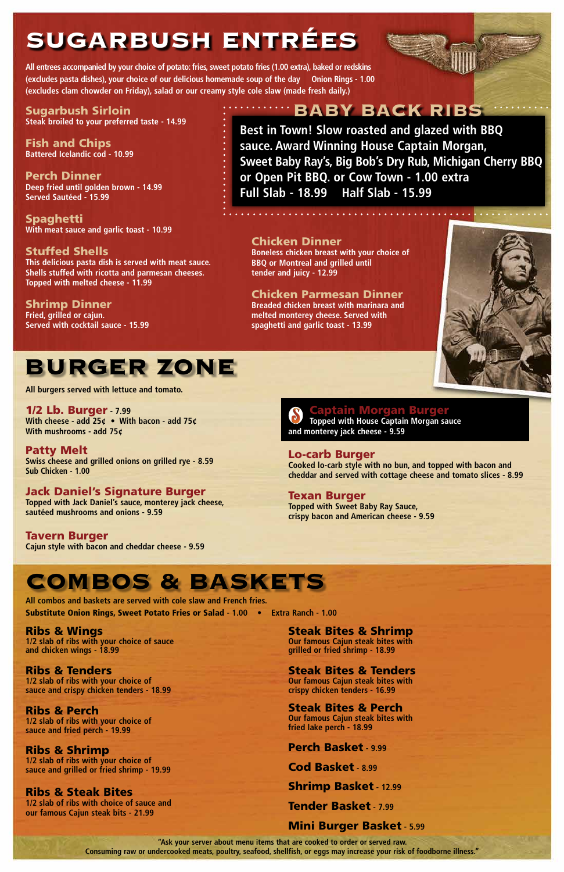**All entrees accompanied by your choice of potato: fries, sweet potato fries (1.00 extra), baked or redskins (excludes pasta dishes), your choice of our delicious homemade soup of the day Onion Rings - 1.00 (excludes clam chowder on Friday), salad or our creamy style cole slaw (made fresh daily.)**

Sugarbush Sirloin **Steak broiled to your preferred taste - 14.99**

Fish and Chips **Battered Icelandic cod - 10.99**

Perch Dinner **Deep fried until golden brown - 14.99 Served Sautéed - 15.99**

Spaghetti **With meat sauce and garlic toast - 10.99**

Stuffed Shells **This delicious pasta dish is served with meat sauce. Shells stuffed with ricotta and parmesan cheeses. Topped with melted cheese - 11.99**

Shrimp Dinner **Fried, grilled or cajun. Served with cocktail sauce - 15.99**

### **WEBABY BACK RIBS**

#### **Aptain Morgan Burger Topped with House Captain Morgan sauce and monterey jack cheese - 9.59**

#### Chicken Dinner

**Boneless chicken breast with your choice of BBQ or Montreal and grilled until tender and juicy - 12.99**

Chicken Parmesan Dinner **Breaded chicken breast with marinara and melted monterey cheese. Served with spaghetti and garlic toast - 13.99**



# SUGARBUSH ENTRÉES

# BURGER ZONE

#### 1/2 Lb. Burger **- 7.99**

**With cheese - add 25¢ • With bacon - add 75¢ With mushrooms - add 75¢**

#### Patty Melt

**Swiss cheese and grilled onions on grilled rye - 8.59 Sub Chicken - 1.00**

#### Jack Daniel's Signature Burger

**Topped with Jack Daniel's sauce, monterey jack cheese, sautéed mushrooms and onions - 9.59**

Tavern Burger **Cajun style with bacon and cheddar cheese - 9.59**

#### Lo-carb Burger

**Cooked lo-carb style with no bun, and topped with bacon and cheddar and served with cottage cheese and tomato slices - 8.99**

#### Texan Burger

**Topped with Sweet Baby Ray Sauce, crispy bacon and American cheese - 9.59**

**Best in Town! Slow roasted and glazed with BBQ sauce. Award Winning House Captain Morgan, Sweet Baby Ray's, Big Bob's Dry Rub, Michigan Cherry BBQ or Open Pit BBQ. or Cow Town - 1.00 extra Full Slab - 18.99 Half Slab - 15.99**

Ribs & Wings **1/2 slab of ribs with your choice of sauce** 

**and chicken wings - 18.99**

Ribs & Tenders **1/2 slab of ribs with your choice of sauce and crispy chicken tenders - 18.99**

Ribs & Perch **1/2 slab of ribs with your choice of sauce and fried perch - 19.99**

Ribs & Shrimp **1/2 slab of ribs with your choice of sauce and grilled or fried shrimp - 19.99**

Ribs & Steak Bites **1/2 slab of ribs with choice of sauce and our famous Cajun steak bits - 21.99**

Steak Bites & Shrimp **Our famous Cajun steak bites with grilled or fried shrimp - 18.99**

Steak Bites & Tenders **Our famous Cajun steak bites with crispy chicken tenders - 16.99**

Steak Bites & Perch **Our famous Cajun steak bites with fried lake perch - 18.99**

Perch Basket **- 9.99** Cod Basket **- 8.99** Shrimp Basket **- 12.99** Tender Basket **- 7.99** Mini Burger Basket **- 5.99**

## COMBOS & BASKETS

**All combos and baskets are served with cole slaw and French fries.**  Substitute Onion Rings, Sweet Potato Fries or Salad **- 1.00 • Extra Ranch - 1.00**

**All burgers served with lettuce and tomato.**

**"Ask your server about menu items that are cooked to order or served raw. Consuming raw or undercooked meats, poultry, seafood, shellfish, or eggs may increase your risk of foodborne illness."**